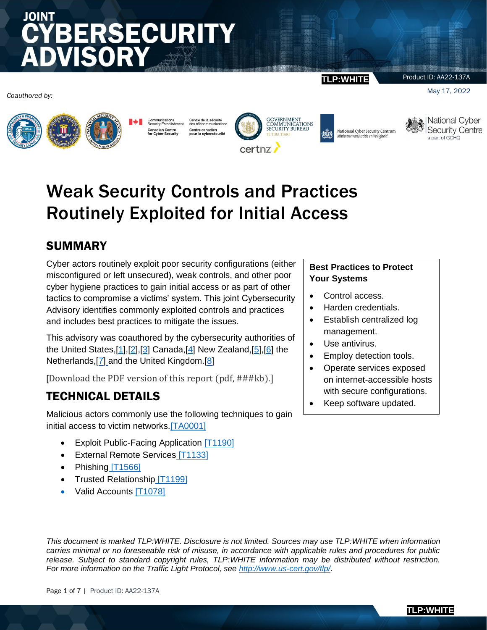# JOINT **BERSECURITY**

*Coauthored by:*



Communications<br>Security Establish adian Centr<mark>e</mark><br>>yber Security canaulan<br>for Cyber

Centre de la sécurité<br>des télécommunications Centre canadien<br>pour la cybersécurite



**TLP:WHITE**

Product ID: AA22-137A

May 17, 2022



Nationaal Cyber Security Centrum Ministerie van Justitie en Veiligheid



## Weak Security Controls and Practices Routinely Exploited for Initial Access

## SUMMARY

Cyber actors routinely exploit poor security configurations (either misconfigured or left unsecured), weak controls, and other poor cyber hygiene practices to gain initial access or as part of other tactics to compromise a victims' system. This joint Cybersecurity Advisory identifies commonly exploited controls and practices and includes best practices to mitigate the issues.

This advisory was coauthored by the cybersecurity authorities of the United States, $[1],[2],[3]$  $[1],[2],[3]$  $[1],[2],[3]$  $[1],[2],[3]$  $[1],[2],[3]$  Canada, $[4]$  New Zealand, $[5],[6]$  $[5],[6]$  $[5],[6]$  the Netherlands, [\[7\]](https://english.ncsc.nl/) and the United Kingdom. [\[8\]](https://www.ncsc.gov.uk/)

[Download the PDF version of this report (pdf, ###kb).]

## TECHNICAL DETAILS

Malicious actors commonly use the following techniques to gain initial access to victim networks[.\[TA0001\]](https://attack.mitre.org/versions/v10/tactics/TA0001/)

- Exploit Public-Facing Application [\[T1190\]](https://attack.mitre.org/versions/v10/techniques/T1190/)
- [External Remote Services](https://attack.mitre.org/versions/v10/techniques/T1133/) [T1133]
- [Phishing](https://attack.mitre.org/versions/v10/techniques/T1566/)  $[T1566]$
- [Trusted Relationship](https://attack.mitre.org/versions/v10/techniques/T1199/) [T1199]
- [Valid Accounts \[T1078\]](https://attack.mitre.org/versions/v10/techniques/T1078/)

#### **Best Practices to Protect Your Systems**

- Control access.
- Harden credentials.
- Establish centralized log management.
- Use antivirus.
- Employ detection tools.
- Operate services exposed on internet-accessible hosts with secure configurations.
- Keep software updated.

*This document is marked TLP:WHITE. Disclosure is not limited. Sources may use TLP:WHITE when information carries minimal or no foreseeable risk of misuse, in accordance with applicable rules and procedures for public release. Subject to standard copyright rules, TLP:WHITE information may be distributed without restriction. For more information on the Traffic Light Protocol, see<http://www.us-cert.gov/tlp/>*.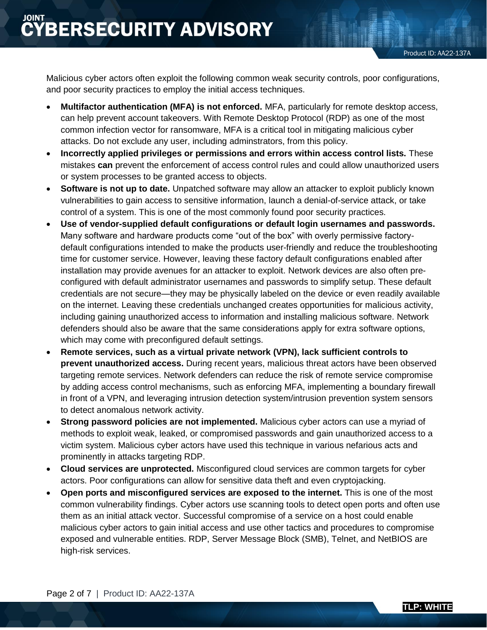Malicious cyber actors often exploit the following common weak security controls, poor configurations, and poor security practices to employ the initial access techniques.

- **Multifactor authentication (MFA) is not enforced.** MFA, particularly for remote desktop access, can help prevent account takeovers. With Remote Desktop Protocol (RDP) as one of the most common infection vector for ransomware, MFA is a critical tool in mitigating malicious cyber attacks. Do not exclude any user, including adminstrators, from this policy.
- **Incorrectly applied privileges or permissions and errors within access control lists.** These mistakes **can** prevent the enforcement of access control rules and could allow unauthorized users or system processes to be granted access to objects.
- **Software is not up to date.** Unpatched software may allow an attacker to exploit publicly known vulnerabilities to gain access to sensitive information, launch a denial-of-service attack, or take control of a system. This is one of the most commonly found poor security practices.
- **Use of vendor-supplied default configurations or default login usernames and passwords.** Many software and hardware products come "out of the box" with overly permissive factorydefault configurations intended to make the products user-friendly and reduce the troubleshooting time for customer service. However, leaving these factory default configurations enabled after installation may provide avenues for an attacker to exploit. Network devices are also often preconfigured with default administrator usernames and passwords to simplify setup. These default credentials are not secure—they may be physically labeled on the device or even readily available on the internet. Leaving these credentials unchanged creates opportunities for malicious activity, including gaining unauthorized access to information and installing malicious software. Network defenders should also be aware that the same considerations apply for extra software options, which may come with preconfigured default settings.
- **Remote services, such as a virtual private network (VPN), lack sufficient controls to prevent unauthorized access.** During recent years, malicious threat actors have been observed targeting remote services. Network defenders can reduce the risk of remote service compromise by adding access control mechanisms, such as enforcing MFA, implementing a boundary firewall in front of a VPN, and leveraging intrusion detection system/intrusion prevention system sensors to detect anomalous network activity.
- **Strong password policies are not implemented.** Malicious cyber actors can use a myriad of methods to exploit weak, leaked, or compromised passwords and gain unauthorized access to a victim system. Malicious cyber actors have used this technique in various nefarious acts and prominently in attacks targeting RDP.
- **Cloud services are unprotected.** Misconfigured cloud services are common targets for cyber actors. Poor configurations can allow for sensitive data theft and even cryptojacking.
- **Open ports and misconfigured services are exposed to the internet.** This is one of the most common vulnerability findings. Cyber actors use scanning tools to detect open ports and often use them as an initial attack vector. Successful compromise of a service on a host could enable malicious cyber actors to gain initial access and use other tactics and procedures to compromise exposed and vulnerable entities. RDP, Server Message Block (SMB), Telnet, and NetBIOS are high-risk services.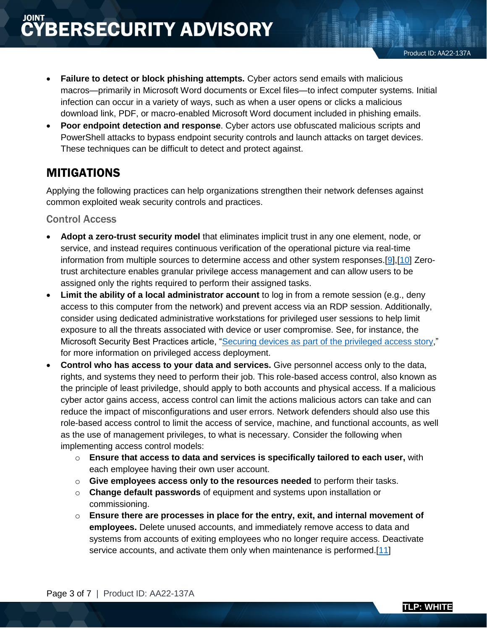- **Failure to detect or block phishing attempts.** Cyber actors send emails with malicious macros—primarily in Microsoft Word documents or Excel files—to infect computer systems. Initial infection can occur in a variety of ways, such as when a user opens or clicks a malicious download link, PDF, or macro-enabled Microsoft Word document included in phishing emails.
- **Poor endpoint detection and response**. Cyber actors use obfuscated malicious scripts and PowerShell attacks to bypass endpoint security controls and launch attacks on target devices. These techniques can be difficult to detect and protect against.

### MITIGATIONS

Applying the following practices can help organizations strengthen their network defenses against common exploited weak security controls and practices.

#### Control Access

- **Adopt a zero-trust security model** that eliminates implicit trust in any one element, node, or service, and instead requires continuous verification of the operational picture via real-time information from multiple sources to determine access and other system responses.[\[9\],\[10\]](https://www.whitehouse.gov/briefing-room/presidential-actions/2021/05/12/executive-order-on-improving-the-nations-cybersecurity/) Zerotrust architecture enables granular privilege access management and can allow users to be assigned only the rights required to perform their assigned tasks.
- **Limit the ability of a local administrator account** to log in from a remote session (e.g., deny access to this computer from the network) and prevent access via an RDP session. Additionally, consider using dedicated administrative workstations for privileged user sessions to help limit exposure to all the threats associated with device or user compromise. See, for instance, the Microsoft Security Best Practices article, ["Securing devices as part of the privileged access story,](https://docs.microsoft.com/en-us/security/compass/privileged-access-devices)" for more information on privileged access deployment.
- **Control who has access to your data and services.** Give personnel access only to the data, rights, and systems they need to perform their job. This role-based access control, also known as the principle of least priviledge, should apply to both accounts and physical access. If a malicious cyber actor gains access, access control can limit the actions malicious actors can take and can reduce the impact of misconfigurations and user errors. Network defenders should also use this role-based access control to limit the access of service, machine, and functional accounts, as well as the use of management privileges, to what is necessary. Consider the following when implementing access control models:
	- o **Ensure that access to data and services is specifically tailored to each user,** with each employee having their own user account.
	- o **Give employees access only to the resources needed** to perform their tasks.
	- o **Change default passwords** of equipment and systems upon installation or commissioning.
	- o **Ensure there are processes in place for the entry, exit, and internal movement of employees.** Delete unused accounts, and immediately remove access to data and systems from accounts of exiting employees who no longer require access. Deactivate service accounts, and activate them only when maintenance is performed.[\[11\]](https://english.ncsc.nl/publications/publications/2021/august/4/guide-to-cyber-security-measures)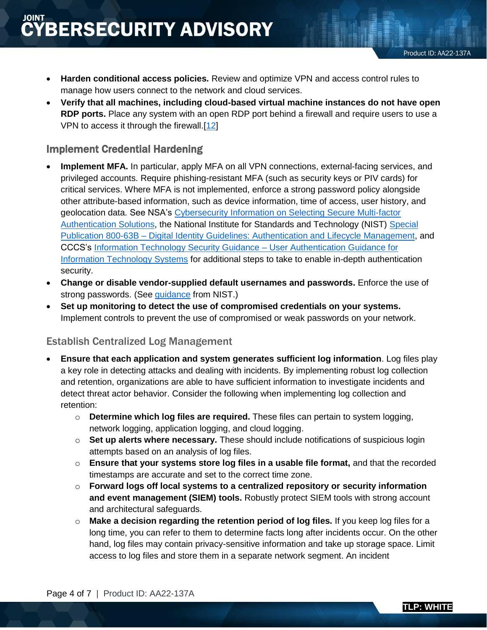- **Harden conditional access policies.** Review and optimize VPN and access control rules to manage how users connect to the network and cloud services.
- **Verify that all machines, including cloud-based virtual machine instances do not have open RDP ports.** Place any system with an open RDP port behind a firewall and require users to use a VPN to access it through the firewall.[\[12\]](https://www.n-able.com/blog/intrusion-detection-system)

#### Implement Credential Hardening

- **Implement MFA.** In particular, apply MFA on all VPN connections, external-facing services, and privileged accounts. Require phishing-resistant MFA (such as security keys or PIV cards) for critical services. Where MFA is not implemented, enforce a strong password policy alongside other attribute-based information, such as device information, time of access, user history, and geolocation data. See NSA's [Cybersecurity Information on Selecting Secure Multi-factor](https://media.defense.gov/2020/Sep/22/2002502665/-1/-1/0/Multifactor_Authentication_Solutions_UOO17091520_V1.1%20-%20Copy.PDF)  [Authentication Solutions,](https://media.defense.gov/2020/Sep/22/2002502665/-1/-1/0/Multifactor_Authentication_Solutions_UOO17091520_V1.1%20-%20Copy.PDF) the National Institute for Standards and Technology (NIST) [Special](https://csrc.nist.gov/publications/detail/sp/800-63b/final)  Publication 800-63B – [Digital Identity Guidelines: Authentication and Lifecycle Management,](https://csrc.nist.gov/publications/detail/sp/800-63b/final) and CCCS's [Information Technology Security Guidance –](https://www.cyber.gc.ca/en/guidance/user-authentication-guidance-information-technology-systems-itsp30031-v3) User Authentication Guidance for [Information Technology Systems](https://www.cyber.gc.ca/en/guidance/user-authentication-guidance-information-technology-systems-itsp30031-v3) for additional steps to take to enable in-depth authentication security.
- **Change or disable vendor-supplied default usernames and passwords.** Enforce the use of strong passwords. (See [guidance](https://csrc.nist.gov/publications/detail/sp/800-63b/final) from NIST.)
- **Set up monitoring to detect the use of compromised credentials on your systems.**  Implement controls to prevent the use of compromised or weak passwords on your network.

#### Establish Centralized Log Management

- **Ensure that each application and system generates sufficient log information**. Log files play a key role in detecting attacks and dealing with incidents. By implementing robust log collection and retention, organizations are able to have sufficient information to investigate incidents and detect threat actor behavior. Consider the following when implementing log collection and retention:
	- o **Determine which log files are required.** These files can pertain to system logging, network logging, application logging, and cloud logging.
	- o **Set up alerts where necessary.** These should include notifications of suspicious login attempts based on an analysis of log files.
	- o **Ensure that your systems store log files in a usable file format,** and that the recorded timestamps are accurate and set to the correct time zone.
	- o **Forward logs off local systems to a centralized repository or security information and event management (SIEM) tools.** Robustly protect SIEM tools with strong account and architectural safeguards.
	- o **Make a decision regarding the retention period of log files.** If you keep log files for a long time, you can refer to them to determine facts long after incidents occur. On the other hand, log files may contain privacy-sensitive information and take up storage space. Limit access to log files and store them in a separate network segment. An incident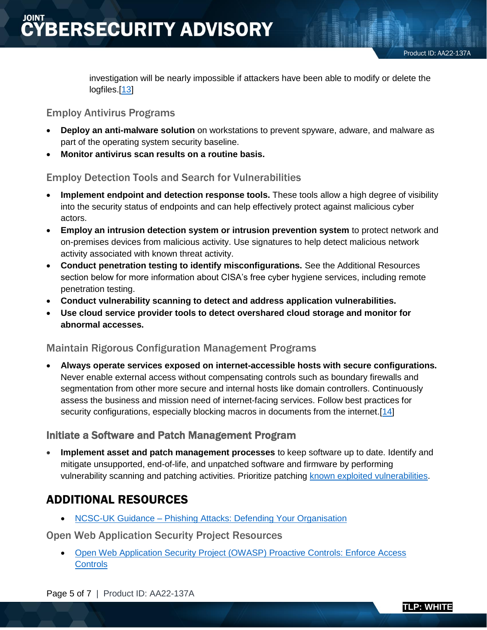investigation will be nearly impossible if attackers have been able to modify or delete the logfiles.[\[13\]](https://english.ncsc.nl/publications/publications/2021/august/4/guide-to-cyber-security-measures)

#### Employ Antivirus Programs

- **Deploy an anti-malware solution** on workstations to prevent spyware, adware, and malware as part of the operating system security baseline.
- **Monitor antivirus scan results on a routine basis.**

#### Employ Detection Tools and Search for Vulnerabilities

- **Implement endpoint and detection response tools.** These tools allow a high degree of visibility into the security status of endpoints and can help effectively protect against malicious cyber actors.
- **Employ an intrusion detection system or intrusion prevention system** to protect network and on-premises devices from malicious activity. Use signatures to help detect malicious network activity associated with known threat activity.
- **Conduct penetration testing to identify misconfigurations.** See the Additional Resources section below for more information about CISA's free cyber hygiene services, including remote penetration testing.
- **Conduct vulnerability scanning to detect and address application vulnerabilities.**
- **Use cloud service provider tools to detect overshared cloud storage and monitor for abnormal accesses.**

#### Maintain Rigorous Configuration Management Programs

 **Always operate services exposed on internet-accessible hosts with secure configurations.**  Never enable external access without compensating controls such as boundary firewalls and segmentation from other more secure and internal hosts like domain controllers. Continuously assess the business and mission need of internet-facing services. Follow best practices for security configurations, especially blocking macros in documents from the internet.[\[14\]](https://csrc.nist.gov/publications/detail/sp/800-123/final)

#### Initiate a Software and Patch Management Program

 **Implement asset and patch management processes** to keep software up to date. Identify and mitigate unsupported, end-of-life, and unpatched software and firmware by performing vulnerability scanning and patching activities. Prioritize patching [known exploited vulnerabilities.](https://www.cisa.gov/known-exploited-vulnerabilities-catalog)

## ADDITIONAL RESOURCES

• NCSC-UK Guidance – Phishing Attacks: Defending Your Organisation

Open Web Application Security Project Resources

 [Open Web Application Security Project \(OWASP\) Proactive Controls: Enforce Access](https://owasp.org/www-project-proactive-controls/v3/en/c7-enforce-access-controls)  **[Controls](https://owasp.org/www-project-proactive-controls/v3/en/c7-enforce-access-controls)**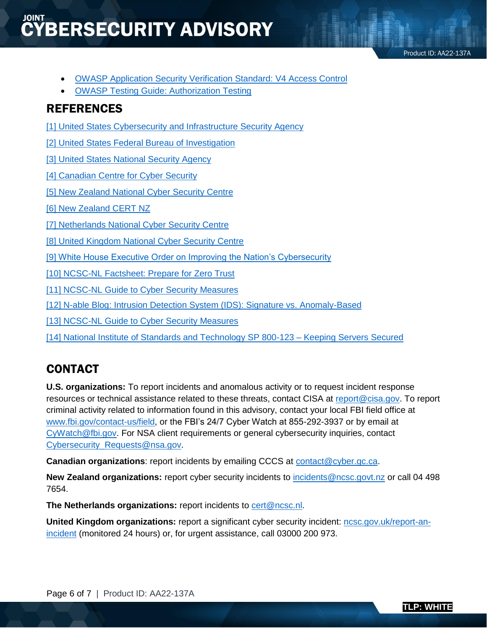## **ŸBERSECURITY ADVISORY**

Product ID: AA22-137A

- [OWASP Application Security Verification Standard: V4 Access Control](https://owasp.org/www-project-application-security-verification-standard)
- [OWASP Testing Guide: Authorization Testing](https://owasp.org/www-project-web-security-testing-guide/latest/4-Web_Application_Security_Testing/05-Authorization_Testing/README)

## REFERENCES

[1] United States Cybersecurity and Infrastructure Security Agency

[\[2\] United States Federal Bureau of Investigation](https://www.fbi.gov/investigate/cyber)

[\[3\] United States National Security Agency](https://www.nsa.gov/Cybersecurity/)

[4] Canadian Centre for Cyber Security

[5] New Zealand National Cyber Security Centre

[\[6\] New Zealand CERT NZ](https://www.cert.govt.nz/)

[\[7\] Netherlands National Cyber Security Centre](https://english.ncsc.nl/)

[8] United Kingdom National Cyber Security Centre

[\[9\] White House Executive Order on Improving the Nation's Cybersecurity](https://www.whitehouse.gov/briefing-room/presidential-actions/2021/05/12/executive-order-on-improving-the-nations-cybersecurity/)

[\[10\] NCSC-NL Factsheet: Prepare for Zero Trust](https://english.ncsc.nl/publications/factsheets/2021/augustus/18/factsheet-prepare-for-zero-trust)

[11] NCSC-NL Guide to Cyber Security Measures

[\[12\] N-able Blog: Intrusion Detection System \(IDS\): Signature vs. Anomaly-Based](https://www.n-able.com/blog/intrusion-detection-system)

[13] [NCSC-NL Guide to Cyber Security Measures](https://english.ncsc.nl/publications/publications/2021/august/4/guide-to-cyber-security-measures)

[\[14\] National Institute of Standards and Technology SP 800-123 –](https://csrc.nist.gov/publications/detail/sp/800-123/final) Keeping Servers Secured

## CONTACT

**U.S. organizations:** To report incidents and anomalous activity or to request incident response resources or technical assistance related to these threats, contact CISA at [report@cisa.gov.](mailto:central@cisa.gov) To report criminal activity related to information found in this advisory, contact your local FBI field office at [www.fbi.gov/contact-us/field,](http://www.fbi.gov/contact-us/field) or the FBI's 24/7 Cyber Watch at 855-292-3937 or by email at [CyWatch@fbi.gov.](mailto:CyWatch@fbi.gov) For NSA client requirements or general cybersecurity inquiries, contact [Cybersecurity\\_Requests@nsa.gov.](mailto:Cybersecurity_Requests@nsa.gov)

**Canadian organizations**: report incidents by emailing CCCS at [contact@cyber.gc.ca.](mailto:contact@cyber.gc.ca)

**New Zealand organizations:** report cyber security incidents to [incidents@ncsc.govt.nz](mailto:incidents@ncsc.govt.nz) or call 04 498 7654.

**The Netherlands organizations:** report incidents to [cert@ncsc.nl.](mailto:cert@ncsc.nl)

**United Kingdom organizations:** report a significant cyber security incident: [ncsc.gov.uk/report-an](https://www.ncsc.gov.uk/section/about-this-website/contact-us)[incident](https://www.ncsc.gov.uk/section/about-this-website/contact-us) (monitored 24 hours) or, for urgent assistance, call 03000 200 973.